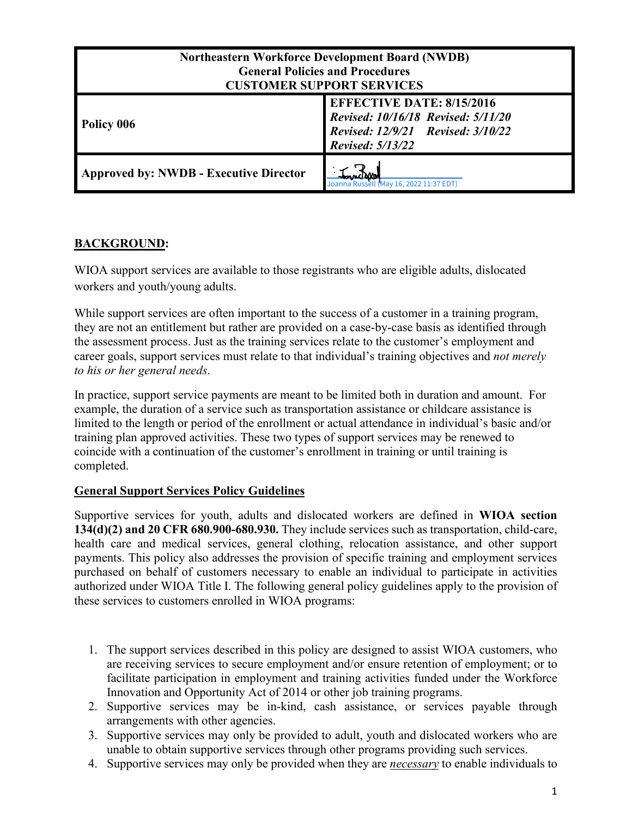| <b>Northeastern Workforce Development Board (NWDB)</b><br><b>General Policies and Procedures</b><br><b>CUSTOMER SUPPORT SERVICES</b> |                                                                                                                                        |
|--------------------------------------------------------------------------------------------------------------------------------------|----------------------------------------------------------------------------------------------------------------------------------------|
| Policy 006                                                                                                                           | <b>EFFECTIVE DATE: 8/15/2016</b><br>Revised: 10/16/18 Revised: 5/11/20<br>Revised: 12/9/21 Revised: 3/10/22<br><b>Revised: 5/13/22</b> |
| <b>Approved by: NWDB - Executive Director</b>                                                                                        | May 16, 2022 11:37 EDT)                                                                                                                |

# **BACKGROUND:**

WIOA support services are available to those registrants who are eligible adults, dislocated workers and youth/young adults.

While support services are often important to the success of a customer in a training program, they are not an entitlement but rather are provided on a case-by-case basis as identified through the assessment process. Just as the training services relate to the customer's employment and career goals, support services must relate to that individual's training objectives and *not merely to his or her general needs*.

In practice, support service payments are meant to be limited both in duration and amount. For example, the duration of a service such as transportation assistance or childcare assistance is limited to the length or period of the enrollment or actual attendance in individual's basic and/or training plan approved activities. These two types of support services may be renewed to coincide with a continuation of the customer's enrollment in training or until training is completed.

# **General Support Services Policy Guidelines**

Supportive services for youth, adults and dislocated workers are defined in **WIOA section 134(d)(2) and 20 CFR 680.900-680.930.** They include services such as transportation, child-care, health care and medical services, general clothing, relocation assistance, and other support payments. This policy also addresses the provision of specific training and employment services purchased on behalf of customers necessary to enable an individual to participate in activities authorized under WIOA Title I. The following general policy guidelines apply to the provision of these services to customers enrolled in WIOA programs:

- 1. The support services described in this policy are designed to assist WIOA customers, who are receiving services to secure employment and/or ensure retention of employment; or to facilitate participation in employment and training activities funded under the Workforce Innovation and Opportunity Act of 2014 or other job training programs.
- 2. Supportive services may be in-kind, cash assistance, or services payable through arrangements with other agencies.
- 3. Supportive services may only be provided to adult, youth and dislocated workers who are unable to obtain supportive services through other programs providing such services.
- 4. Supportive services may only be provided when they are *necessary* to enable individuals to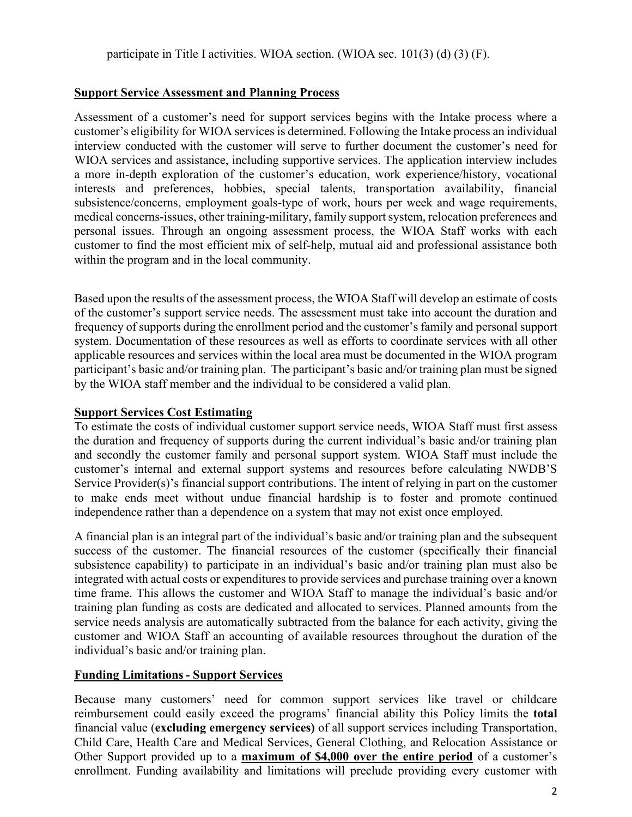#### **Support Service Assessment and Planning Process**

Assessment of a customer's need for support services begins with the Intake process where a customer's eligibility for WIOA services is determined. Following the Intake process an individual interview conducted with the customer will serve to further document the customer's need for WIOA services and assistance, including supportive services. The application interview includes a more in-depth exploration of the customer's education, work experience/history, vocational interests and preferences, hobbies, special talents, transportation availability, financial subsistence/concerns, employment goals-type of work, hours per week and wage requirements, medical concerns-issues, other training-military, family support system, relocation preferences and personal issues. Through an ongoing assessment process, the WIOA Staff works with each customer to find the most efficient mix of self-help, mutual aid and professional assistance both within the program and in the local community.

Based upon the results of the assessment process, the WIOA Staff will develop an estimate of costs of the customer's support service needs. The assessment must take into account the duration and frequency of supports during the enrollment period and the customer's family and personal support system. Documentation of these resources as well as efforts to coordinate services with all other applicable resources and services within the local area must be documented in the WIOA program participant's basic and/or training plan. The participant's basic and/or training plan must be signed by the WIOA staff member and the individual to be considered a valid plan.

#### **Support Services Cost Estimating**

To estimate the costs of individual customer support service needs, WIOA Staff must first assess the duration and frequency of supports during the current individual's basic and/or training plan and secondly the customer family and personal support system. WIOA Staff must include the customer's internal and external support systems and resources before calculating NWDB'S Service Provider(s)'s financial support contributions. The intent of relying in part on the customer to make ends meet without undue financial hardship is to foster and promote continued independence rather than a dependence on a system that may not exist once employed.

A financial plan is an integral part of the individual's basic and/or training plan and the subsequent success of the customer. The financial resources of the customer (specifically their financial subsistence capability) to participate in an individual's basic and/or training plan must also be integrated with actual costs or expenditures to provide services and purchase training over a known time frame. This allows the customer and WIOA Staff to manage the individual's basic and/or training plan funding as costs are dedicated and allocated to services. Planned amounts from the service needs analysis are automatically subtracted from the balance for each activity, giving the customer and WIOA Staff an accounting of available resources throughout the duration of the individual's basic and/or training plan.

## **Funding Limitations - Support Services**

Because many customers' need for common support services like travel or childcare reimbursement could easily exceed the programs' financial ability this Policy limits the **total** financial value (**excluding emergency services)** of all support services including Transportation, Child Care, Health Care and Medical Services, General Clothing, and Relocation Assistance or Other Support provided up to a **maximum of \$4,000 over the entire period** of a customer's enrollment. Funding availability and limitations will preclude providing every customer with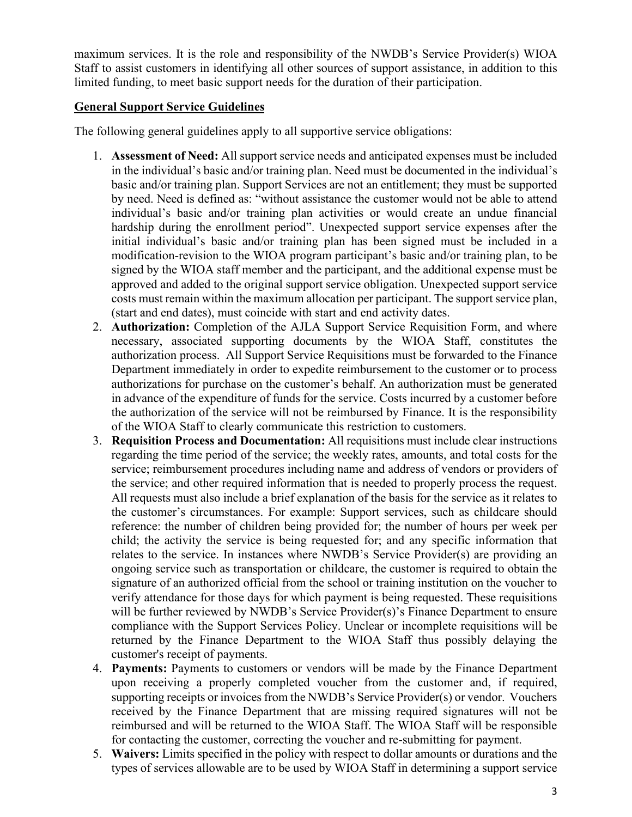maximum services. It is the role and responsibility of the NWDB's Service Provider(s) WIOA Staff to assist customers in identifying all other sources of support assistance, in addition to this limited funding, to meet basic support needs for the duration of their participation.

## **General Support Service Guidelines**

The following general guidelines apply to all supportive service obligations:

- 1. **Assessment of Need:** All support service needs and anticipated expenses must be included in the individual's basic and/or training plan. Need must be documented in the individual's basic and/or training plan. Support Services are not an entitlement; they must be supported by need. Need is defined as: "without assistance the customer would not be able to attend individual's basic and/or training plan activities or would create an undue financial hardship during the enrollment period". Unexpected support service expenses after the initial individual's basic and/or training plan has been signed must be included in a modification-revision to the WIOA program participant's basic and/or training plan, to be signed by the WIOA staff member and the participant, and the additional expense must be approved and added to the original support service obligation. Unexpected support service costs must remain within the maximum allocation per participant. The support service plan, (start and end dates), must coincide with start and end activity dates.
- 2. **Authorization:** Completion of the AJLA Support Service Requisition Form, and where necessary, associated supporting documents by the WIOA Staff, constitutes the authorization process. All Support Service Requisitions must be forwarded to the Finance Department immediately in order to expedite reimbursement to the customer or to process authorizations for purchase on the customer's behalf. An authorization must be generated in advance of the expenditure of funds for the service. Costs incurred by a customer before the authorization of the service will not be reimbursed by Finance. It is the responsibility of the WIOA Staff to clearly communicate this restriction to customers.
- 3. **Requisition Process and Documentation:** All requisitions must include clear instructions regarding the time period of the service; the weekly rates, amounts, and total costs for the service; reimbursement procedures including name and address of vendors or providers of the service; and other required information that is needed to properly process the request. All requests must also include a brief explanation of the basis for the service as it relates to the customer's circumstances. For example: Support services, such as childcare should reference: the number of children being provided for; the number of hours per week per child; the activity the service is being requested for; and any specific information that relates to the service. In instances where NWDB's Service Provider(s) are providing an ongoing service such as transportation or childcare, the customer is required to obtain the signature of an authorized official from the school or training institution on the voucher to verify attendance for those days for which payment is being requested. These requisitions will be further reviewed by NWDB's Service Provider(s)'s Finance Department to ensure compliance with the Support Services Policy. Unclear or incomplete requisitions will be returned by the Finance Department to the WIOA Staff thus possibly delaying the customer's receipt of payments.
- 4. **Payments:** Payments to customers or vendors will be made by the Finance Department upon receiving a properly completed voucher from the customer and, if required, supporting receipts or invoices from the NWDB's Service Provider(s) or vendor. Vouchers received by the Finance Department that are missing required signatures will not be reimbursed and will be returned to the WIOA Staff. The WIOA Staff will be responsible for contacting the customer, correcting the voucher and re-submitting for payment.
- 5. **Waivers:** Limits specified in the policy with respect to dollar amounts or durations and the types of services allowable are to be used by WIOA Staff in determining a support service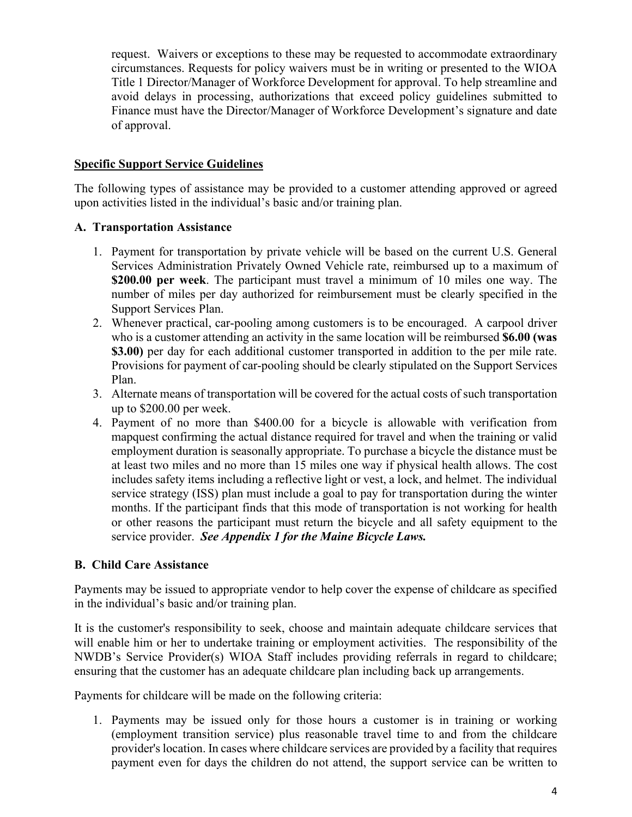request. Waivers or exceptions to these may be requested to accommodate extraordinary circumstances. Requests for policy waivers must be in writing or presented to the WIOA Title 1 Director/Manager of Workforce Development for approval. To help streamline and avoid delays in processing, authorizations that exceed policy guidelines submitted to Finance must have the Director/Manager of Workforce Development's signature and date of approval.

#### **Specific Support Service Guidelines**

The following types of assistance may be provided to a customer attending approved or agreed upon activities listed in the individual's basic and/or training plan.

#### **A. Transportation Assistance**

- 1. Payment for transportation by private vehicle will be based on the current U.S. General Services Administration Privately Owned Vehicle rate, reimbursed up to a maximum of **\$200.00 per week**. The participant must travel a minimum of 10 miles one way. The number of miles per day authorized for reimbursement must be clearly specified in the Support Services Plan.
- 2. Whenever practical, car-pooling among customers is to be encouraged. A carpool driver who is a customer attending an activity in the same location will be reimbursed **\$6.00 (was \$3.00)** per day for each additional customer transported in addition to the per mile rate. Provisions for payment of car-pooling should be clearly stipulated on the Support Services Plan.
- 3. Alternate means of transportation will be covered for the actual costs of such transportation up to \$200.00 per week.
- 4. Payment of no more than \$400.00 for a bicycle is allowable with verification from mapquest confirming the actual distance required for travel and when the training or valid employment duration is seasonally appropriate. To purchase a bicycle the distance must be at least two miles and no more than 15 miles one way if physical health allows. The cost includes safety items including a reflective light or vest, a lock, and helmet. The individual service strategy (ISS) plan must include a goal to pay for transportation during the winter months. If the participant finds that this mode of transportation is not working for health or other reasons the participant must return the bicycle and all safety equipment to the service provider. *See Appendix 1 for the Maine Bicycle Laws.*

#### **B. Child Care Assistance**

Payments may be issued to appropriate vendor to help cover the expense of childcare as specified in the individual's basic and/or training plan.

It is the customer's responsibility to seek, choose and maintain adequate childcare services that will enable him or her to undertake training or employment activities. The responsibility of the NWDB's Service Provider(s) WIOA Staff includes providing referrals in regard to childcare; ensuring that the customer has an adequate childcare plan including back up arrangements.

Payments for childcare will be made on the following criteria:

1. Payments may be issued only for those hours a customer is in training or working (employment transition service) plus reasonable travel time to and from the childcare provider's location. In cases where childcare services are provided by a facility that requires payment even for days the children do not attend, the support service can be written to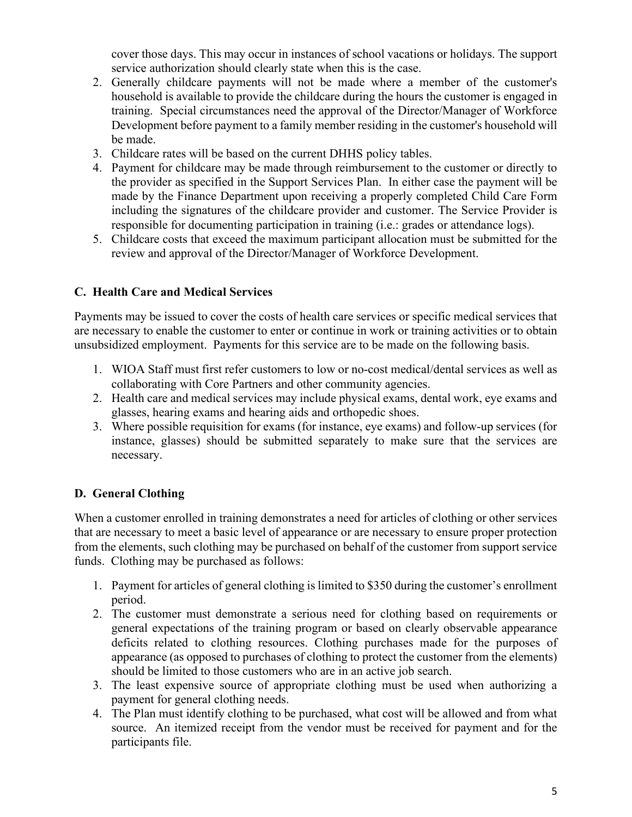cover those days. This may occur in instances of school vacations or holidays. The support service authorization should clearly state when this is the case.

- 2. Generally childcare payments will not be made where a member of the customer's household is available to provide the childcare during the hours the customer is engaged in training. Special circumstances need the approval of the Director/Manager of Workforce Development before payment to a family member residing in the customer's household will be made.
- 3. Childcare rates will be based on the current DHHS policy tables.
- 4. Payment for childcare may be made through reimbursement to the customer or directly to the provider as specified in the Support Services Plan. In either case the payment will be made by the Finance Department upon receiving a properly completed Child Care Form including the signatures of the childcare provider and customer. The Service Provider is responsible for documenting participation in training (i.e.: grades or attendance logs).
- 5. Childcare costs that exceed the maximum participant allocation must be submitted for the review and approval of the Director/Manager of Workforce Development.

# **C. Health Care and Medical Services**

Payments may be issued to cover the costs of health care services or specific medical services that are necessary to enable the customer to enter or continue in work or training activities or to obtain unsubsidized employment. Payments for this service are to be made on the following basis.

- 1. WIOA Staff must first refer customers to low or no-cost medical/dental services as well as collaborating with Core Partners and other community agencies.
- 2. Health care and medical services may include physical exams, dental work, eye exams and glasses, hearing exams and hearing aids and orthopedic shoes.
- 3. Where possible requisition for exams (for instance, eye exams) and follow-up services (for instance, glasses) should be submitted separately to make sure that the services are necessary.

# **D. General Clothing**

When a customer enrolled in training demonstrates a need for articles of clothing or other services that are necessary to meet a basic level of appearance or are necessary to ensure proper protection from the elements, such clothing may be purchased on behalf of the customer from support service funds. Clothing may be purchased as follows:

- 1. Payment for articles of general clothing is limited to \$350 during the customer's enrollment period.
- 2. The customer must demonstrate a serious need for clothing based on requirements or general expectations of the training program or based on clearly observable appearance deficits related to clothing resources. Clothing purchases made for the purposes of appearance (as opposed to purchases of clothing to protect the customer from the elements) should be limited to those customers who are in an active job search.
- 3. The least expensive source of appropriate clothing must be used when authorizing a payment for general clothing needs.
- 4. The Plan must identify clothing to be purchased, what cost will be allowed and from what source. An itemized receipt from the vendor must be received for payment and for the participants file.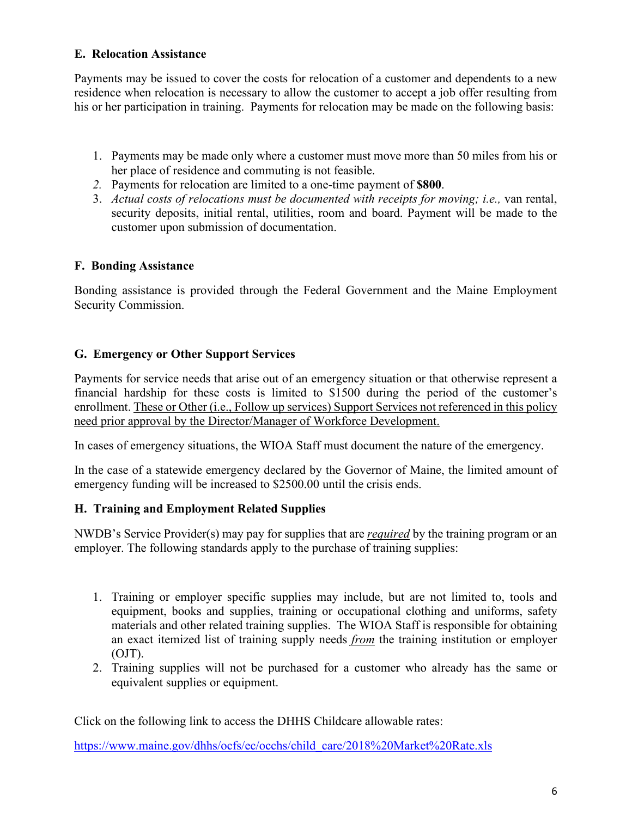# **E. Relocation Assistance**

Payments may be issued to cover the costs for relocation of a customer and dependents to a new residence when relocation is necessary to allow the customer to accept a job offer resulting from his or her participation in training. Payments for relocation may be made on the following basis:

- 1. Payments may be made only where a customer must move more than 50 miles from his or her place of residence and commuting is not feasible.
- *2.* Payments for relocation are limited to a one-time payment of **\$800**.
- 3. *Actual costs of relocations must be documented with receipts for moving; i.e.,* van rental, security deposits, initial rental, utilities, room and board. Payment will be made to the customer upon submission of documentation.

## **F. Bonding Assistance**

Bonding assistance is provided through the Federal Government and the Maine Employment Security Commission.

# **G. Emergency or Other Support Services**

Payments for service needs that arise out of an emergency situation or that otherwise represent a financial hardship for these costs is limited to \$1500 during the period of the customer's enrollment. These or Other (i.e., Follow up services) Support Services not referenced in this policy need prior approval by the Director/Manager of Workforce Development.

In cases of emergency situations, the WIOA Staff must document the nature of the emergency.

In the case of a statewide emergency declared by the Governor of Maine, the limited amount of emergency funding will be increased to \$2500.00 until the crisis ends.

## **H. Training and Employment Related Supplies**

NWDB's Service Provider(s) may pay for supplies that are *required* by the training program or an employer. The following standards apply to the purchase of training supplies:

- 1. Training or employer specific supplies may include, but are not limited to, tools and equipment, books and supplies, training or occupational clothing and uniforms, safety materials and other related training supplies. The WIOA Staff is responsible for obtaining an exact itemized list of training supply needs *from* the training institution or employer (OJT).
- 2. Training supplies will not be purchased for a customer who already has the same or equivalent supplies or equipment.

Click on the following link to access the DHHS Childcare allowable rates:

[https://www.maine.gov/dhhs/ocfs/ec/occhs/child\\_care/2018%20Market%20Rate.xls](https://www.maine.gov/dhhs/ocfs/ec/occhs/child_care/2018%20Market%20Rate.xls)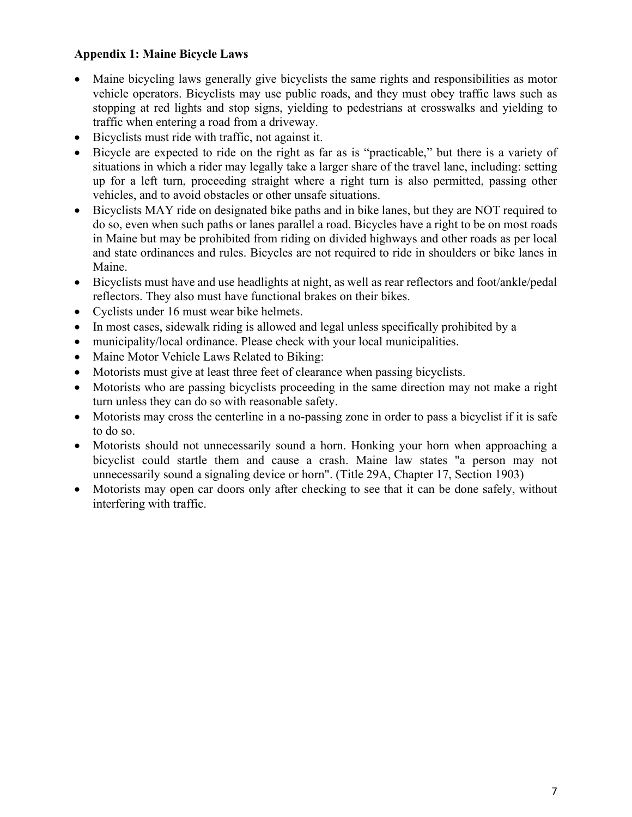# **Appendix 1: Maine Bicycle Laws**

- Maine bicycling laws generally give bicyclists the same rights and responsibilities as motor vehicle operators. Bicyclists may use public roads, and they must obey traffic laws such as stopping at red lights and stop signs, yielding to pedestrians at crosswalks and yielding to traffic when entering a road from a driveway.
- Bicyclists must ride with traffic, not against it.
- Bicycle are expected to ride on the right as far as is "practicable," but there is a variety of situations in which a rider may legally take a larger share of the travel lane, including: setting up for a left turn, proceeding straight where a right turn is also permitted, passing other vehicles, and to avoid obstacles or other unsafe situations.
- Bicyclists MAY ride on designated bike paths and in bike lanes, but they are NOT required to do so, even when such paths or lanes parallel a road. Bicycles have a right to be on most roads in Maine but may be prohibited from riding on divided highways and other roads as per local and state ordinances and rules. Bicycles are not required to ride in shoulders or bike lanes in Maine.
- Bicyclists must have and use headlights at night, as well as rear reflectors and foot/ankle/pedal reflectors. They also must have functional brakes on their bikes.
- Cyclists under 16 must wear bike helmets.
- In most cases, sidewalk riding is allowed and legal unless specifically prohibited by a
- municipality/local ordinance. Please check with your local municipalities.
- Maine Motor Vehicle Laws Related to Biking:
- Motorists must give at least three feet of clearance when passing bicyclists.
- Motorists who are passing bicyclists proceeding in the same direction may not make a right turn unless they can do so with reasonable safety.
- Motorists may cross the centerline in a no-passing zone in order to pass a bicyclist if it is safe to do so.
- Motorists should not unnecessarily sound a horn. Honking your horn when approaching a bicyclist could startle them and cause a crash. Maine law states "a person may not unnecessarily sound a signaling device or horn". (Title 29A, Chapter 17, Section 1903)
- Motorists may open car doors only after checking to see that it can be done safely, without interfering with traffic.